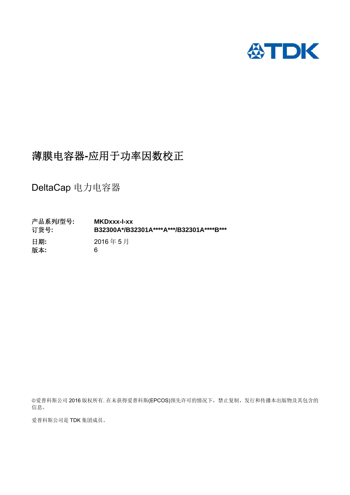

# 薄膜电容器**-**应用于功率因数校正

DeltaCap 电力电容器

产品系列**/**型号**: MKDxxx-I-xx**  订货号**: B32300A\*/B32301A\*\*\*\*A\*\*\*/B32301A\*\*\*\*B\*\*\***  日期**:** 2016 年 5 月 版本**:** 6

爱普科斯公司 2016 版权所有. 在未获得爱普科斯(EPCOS)预先许可的情况下,禁止复制、发行和传播本出版物及其包含的 信息。

爱普科斯公司是 TDK 集团成员。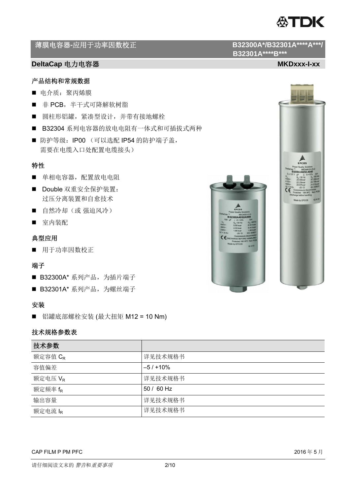

# **薄膜电容器-应用于功率因数校正**<br> **B32300A\*/B32301A\*\*\*\*A\*\*\*/**

# **DeltaCap** 电力电容器 MKDxxx-I-xx

### 产品结构和常规数据

- 电介质: 聚丙烯膜
- 非 PCB, 半干式可降解软树脂
- 圆柱形铝罐,紧凑型设计,并带有接地螺栓
- B32304 系列电容器的放电电阻有一体式和可插拔式两种
- 防护等级: IP00 (可以选配 IP54 的防护端子盖, 需要在电缆入口处配置电缆接头)

## 特性

- 单相电容器,配置放电电阻
- Double 双重安全保护装置: 过压分离装置和自愈技术
- 自然冷却(或 强迫风冷)
- 室内装配

### 典型应用

用于功率因数校正

#### 端子

- B32300A\* 系列产品, 为插片端子
- B32301A\* 系列产品, 为螺丝端子

### 安装

■ 铝罐底部螺栓安装 (最大扭矩 M12 = 10 Nm)

# 技术规格参数表

| 技术参数                |            |
|---------------------|------------|
| 额定容值 C <sub>R</sub> | 详见技术规格书    |
| 容值偏差                | $-5/110%$  |
| 额定电压 V <sub>R</sub> | 详见技术规格书    |
| 额定频率 f <sub>R</sub> | 50 / 60 Hz |
| 输出容量                | 详见技术规格书    |
| 额定电流 IR             | 详见技术规格书    |

#### CAP FILM P PM PFC 2016年5月





 **B32301A\*\*\*\*B\*\*\***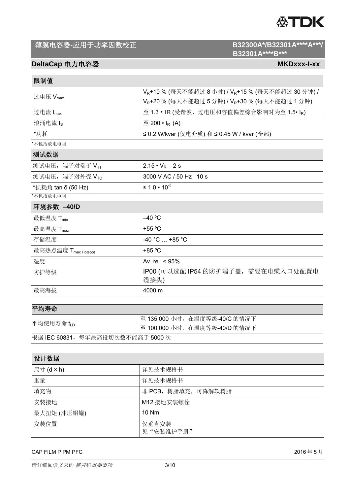

# **B32301A\*\*\*\*B\*\*\***

# **DeltaCap** 电力电容器 **MKDxxx-I-xx**

| 限制值                             |                                                                         |  |  |  |  |  |  |
|---------------------------------|-------------------------------------------------------------------------|--|--|--|--|--|--|
| 过电压 V <sub>max</sub>            | V <sub>R</sub> +10% (每天不能超过8小时) / V <sub>R</sub> +15% (每天不能超过30分钟) /    |  |  |  |  |  |  |
|                                 | V <sub>R</sub> +20 % (每天不能超过 5 分钟) / V <sub>R</sub> +30 % (每天不能超过 1 分钟) |  |  |  |  |  |  |
| 过电流 Imax                        | 至 1.3 · IR (受谐波、过电压和容值偏差综合影响时为至 1.5 · IR)                               |  |  |  |  |  |  |
| 浪涌电流 Is                         | $\overline{\mathrm{E}}$ 200 $\cdot$ I <sub>R</sub> (A)                  |  |  |  |  |  |  |
| *功耗                             | ≤ 0.2 W/kvar (仅电介质) 和 ≤ 0.45 W / kvar (全部)                              |  |  |  |  |  |  |
| *不包括放电电阻                        |                                                                         |  |  |  |  |  |  |
| 测试数据                            |                                                                         |  |  |  |  |  |  |
| 测试电压,端子对端子 VT                   | $2.15 \cdot V_R$ 2 s                                                    |  |  |  |  |  |  |
| 测试电压, 端子对外壳 VTC                 | 3000 V AC / 50 Hz 10 s                                                  |  |  |  |  |  |  |
| *损耗角 tan δ (50 Hz)              | $≤ 1.0 ⋅ 10-3$                                                          |  |  |  |  |  |  |
| *不包括放电电阻                        |                                                                         |  |  |  |  |  |  |
| 环境参数 -40/D                      |                                                                         |  |  |  |  |  |  |
| 最低温度 T <sub>min</sub>           | $-40$ °C                                                                |  |  |  |  |  |  |
| 最高温度 T <sub>max</sub>           | +55 °C                                                                  |  |  |  |  |  |  |
| 存储温度                            | $-40 °C  +85 °C$                                                        |  |  |  |  |  |  |
| 最高热点温度 T <sub>max Hotspot</sub> | +85 °C                                                                  |  |  |  |  |  |  |
| 湿度                              | Av. rel. $< 95\%$                                                       |  |  |  |  |  |  |
| 防护等级                            | IP00 (可以选配 IP54 的防护端子盖, 需要在电缆入口处配置电                                     |  |  |  |  |  |  |
|                                 | 缆接头)                                                                    |  |  |  |  |  |  |
| 最高海拔                            | 4000 m                                                                  |  |  |  |  |  |  |
|                                 |                                                                         |  |  |  |  |  |  |
| 平均寿命                            |                                                                         |  |  |  |  |  |  |

| 平均使用寿命 $t_{\scriptscriptstyle{\text{LD}}}$ | 至 135 000 小时, 在温度等级-40/C 的情况下 |
|--------------------------------------------|-------------------------------|
|                                            | 至 100 000 小时, 在温度等级-40/D 的情况下 |
| 根据 IEC 60831, 每年最高投切次数不能高于 5000 次          |                               |

| 设计数据              |                     |
|-------------------|---------------------|
| 尺寸 $(d \times h)$ | 详见技术规格书             |
| 重量                | 详见技术规格书             |
| 填充物               | 非 PCB, 树脂填充, 可降解软树脂 |
| 安装接地              | M12 接地安装螺栓          |
| 最大扭矩 (冲压铝罐)       | 10 Nm               |
| 安装位置              | 仅垂直安装<br>见"安装维护手册"  |

#### CAP FILM P PM PFC  $\begin{array}{cc} 2016 \not\equiv 5 \not\equiv \end{array}$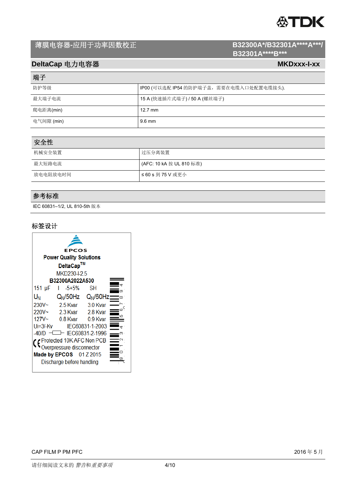# **公TDK**

# 薄膜电容器-应用于功率因数校正<br> **B32300A\*/B32301A\*\*\*\*A\*\*\*/**

# **B32301A\*\*\*\*B\*\*\***

# **DeltaCap** 电力电容器 MKDxxx-I-xx

# 端子

| 防护等级       | IP00 (可以选配 IP54 的防护端子盖, 需要在电缆入口处配置电缆接头). |
|------------|------------------------------------------|
| 最大端子电流     | 15 A (快速插片式端子) / 50 A (螺丝端子)             |
| 爬电距离(min)  | $12.7 \text{ mm}$                        |
| 电气间隙 (min) | 9.6 mm                                   |

| 安全性      |                          |
|----------|--------------------------|
| 机械安全装置   | 过压分离装置                   |
| 最大短路电流   | (AFC: 10 kA 按 UL 810 标准) |
| 放电电阻放电时间 | ≤ 60 s 到 75 V 或更小        |

# 参考标准

IEC 60831–1/2, UL 810-5th 版本

### 标签设计

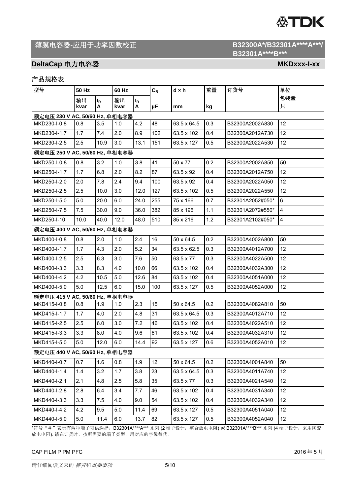# **公TDK**

# 薄膜电容器-应用于功率因数校正<br> **B32300A\*/B32301A\*\*\*\*A\*\*\*/**

# **DeltaCap** 电力电容器 MKDxxx-I-xx

# 产品规格表

| 型号                             | 50 Hz      |            | 60 Hz      |            | $C_R$ | d×h         | 重量  | 订货号              | 单位                      |
|--------------------------------|------------|------------|------------|------------|-------|-------------|-----|------------------|-------------------------|
|                                | 输出<br>kvar | $I_R$<br>Α | 输出<br>kvar | $I_R$<br>A | μF    | mm          | kg  |                  | 包装量<br>只                |
| 额定电压 230 V AC, 50/60 Hz, 单相电容器 |            |            |            |            |       |             |     |                  |                         |
| MKD230-I-0.8                   | 0.8        | 3.5        | 1.0        | 4.2        | 48    | 63.5 x 64.5 | 0.3 | B32300A2002A830  | 12                      |
| MKD230-I-1.7                   | 1.7        | 7.4        | 2.0        | 8.9        | 102   | 63.5 x 102  | 0.4 | B32300A2012A730  | 12                      |
| MKD230-I-2.5                   | 2.5        | 10.9       | 3.0        | 13.1       | 151   | 63.5 x 127  | 0.5 | B32300A2022A530  | 12                      |
| 额定电压 250 V AC, 50/60 Hz, 单相电容器 |            |            |            |            |       |             |     |                  |                         |
| MKD250-I-0.8                   | 0.8        | 3.2        | 1.0        | 3.8        | 41    | 50 x 77     | 0.2 | B32300A2002A850  | 50                      |
| MKD250-I-1.7                   | 1.7        | 6.8        | 2.0        | 8.2        | 87    | 63.5 x 92   | 0.4 | B32300A2012A750  | 12                      |
| MKD250-I-2.0                   | 2.0        | 7.8        | 2.4        | 9.4        | 100   | 63.5 x 92   | 0.4 | B32300A2022A050  | 12                      |
| MKD250-I-2.5                   | 2.5        | 10.0       | 3.0        | 12.0       | 127   | 63.5 x 102  | 0.5 | B32300A2022A550  | 12                      |
| MKD250-I-5.0                   | 5.0        | 20.0       | 6.0        | 24.0       | 255   | 75 x 166    | 0.7 | B32301A2052#050* | 6                       |
| MKD250-I-7.5                   | 7.5        | 30.0       | 9.0        | 36.0       | 382   | 85 x 196    | 1.1 | B32301A2072#550* | $\overline{\mathbf{4}}$ |
| MKD250-I-10                    | 10.0       | 40.0       | 12.0       | 48.0       | 510   | 85 x 216    | 1.2 | B32301A2102#050* | 4                       |
| 额定电压 400 V AC, 50/60 Hz, 单相电容器 |            |            |            |            |       |             |     |                  |                         |
| MKD400-I-0.8                   | 0.8        | 2.0        | 1.0        | 2.4        | 16    | 50 x 64.5   | 0.2 | B32300A4002A800  | 50                      |
| MKD400-I-1.7                   | 1.7        | 4.3        | 2.0        | 5.2        | 34    | 63.5 x 62.5 | 0.3 | B32300A4012A700  | 12                      |
| MKD400-I-2.5                   | 2.5        | 6.3        | 3.0        | 7.6        | 50    | 63.5 x 77   | 0.3 | B32300A4022A500  | 12                      |
| MKD400-I-3.3                   | 3.3        | 8.3        | 4.0        | 10.0       | 66    | 63.5 x 102  | 0.4 | B32300A4032A300  | 12                      |
| MKD400-I-4.2                   | 4.2        | 10.5       | 5.0        | 12.6       | 84    | 63.5 x 102  | 0.4 | B32300A4051A000  | 12                      |
| MKD400-I-5.0                   | 5.0        | 12.5       | 6.0        | 15.0       | 100   | 63.5 x 127  | 0.5 | B32300A4052A000  | 12                      |
| 额定电压 415 V AC, 50/60 Hz, 单相电容器 |            |            |            |            |       |             |     |                  |                         |
| MKD415-I-0.8                   | 0.8        | 1.9        | 1.0        | 2.3        | 15    | 50 x 64.5   | 0.2 | B32300A4082A810  | 50                      |
| MKD415-I-1.7                   | 1.7        | 4.0        | 2.0        | 4.8        | 31    | 63.5 x 64.5 | 0.3 | B32300A4012A710  | 12                      |
| MKD415-I-2.5                   | 2.5        | 6.0        | 3.0        | 7.2        | 46    | 63.5 x 102  | 0.4 | B32300A4022A510  | 12                      |
| MKD415-I-3.3                   | 3.3        | 8.0        | 4.0        | 9.6        | 61    | 63.5 x 102  | 0.4 | B32300A4032A310  | 12                      |
| MKD415-I-5.0                   | 5.0        | 12.0       | 6.0        | 14.4       | 92    | 63.5 x 127  | 0.6 | B32300A4052A010  | 12                      |
| 额定电压 440 V AC, 50/60 Hz, 单相电容器 |            |            |            |            |       |             |     |                  |                         |
| MKD440-I-0.7                   | 0.7        | 1.6        | 0.8        | 1.9        | 12    | 50 x 64.5   | 0.2 | B32300A4001A840  | 50                      |
| MKD440-I-1.4                   | 1.4        | 3.2        | 1.7        | 3.8        | 23    | 63.5 x 64.5 | 0.3 | B32300A4011A740  | 12                      |
| MKD440-I-2.1                   | 2.1        | 4.8        | 2.5        | 5.8        | 35    | 63.5 x 77   | 0.3 | B32300A4021A540  | 12                      |
| MKD440-I-2.8                   | 2.8        | 6.4        | 3.4        | 7.7        | 46    | 63.5 x 102  | 0.4 | B32300A4031A340  | 12                      |
| MKD440-I-3.3                   | 3.3        | 7.5        | 4.0        | 9.0        | 54    | 63.5 x 102  | 0.4 | B32300A4032A340  | 12                      |
| MKD440-I-4.2                   | 4.2        | 9.5        | 5.0        | 11.4       | 69    | 63.5 x 127  | 0.5 | B32300A4051A040  | 12                      |
| MKD440-I-5.0                   | 5.0        | 11.4       | 6.0        | 13.7       | 82    | 63.5 x 127  | 0.5 | B32300A4052A040  | 12                      |

\*符号"#"表示有两种端子可供选择,B32301A\*\*\*\*A\*\*\* 系列 (2 端子设计,整合放电电阻) 或 B32301A\*\*\*\*B\*\*\* 系列 (4 端子设计,采用陶瓷 放电电阻). 请在订货时,按所需要的端子类型,用对应的字母替代。

#### CAP FILM P PM PFC  $\begin{array}{cc} 2016\oplus 5 \end{array}$

 **B32301A\*\*\*\*B\*\*\***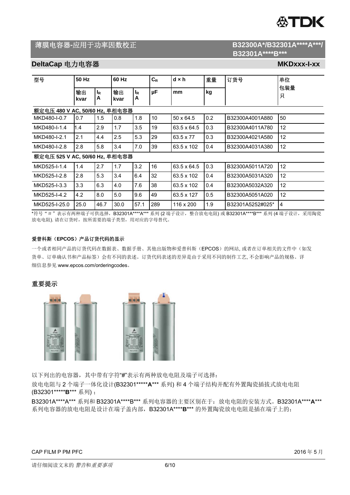

# 薄膜电容器-应用于功率因数校正<br> **B32300A\*/B32301A\*\*\*\*A\*\*\*/**

# **B32301A\*\*\*\*B\*\*\***

# **DeltaCap** 电力电容器 MKDxxx-I-xx

| 型号                             | 50 Hz      |                     | 60 Hz      |            | $C_R$           | $d \times h$ | 重量  | 订货号              | 单位       |
|--------------------------------|------------|---------------------|------------|------------|-----------------|--------------|-----|------------------|----------|
|                                | 输出<br>kvar | l <sub>R</sub><br>A | 输出<br>kvar | $I_R$<br>A | μF              | mm           | kg  |                  | 包装量<br>只 |
| 额定电压 480 V AC, 50/60 Hz, 单相电容器 |            |                     |            |            |                 |              |     |                  |          |
| MKD480-I-0.7                   | 0.7        | 1.5                 | 0.8        | 1.8        | 10 <sup>1</sup> | 50 x 64.5    | 0.2 | B32300A4001A880  | 50       |
| MKD480-I-1.4                   | 1.4        | 2.9                 | 1.7        | 3.5        | 19              | 63.5 x 64.5  | 0.3 | B32300A4011A780  | 12       |
| MKD480-I-2.1                   | 2.1        | 4.4                 | 2.5        | 5.3        | 29              | 63.5 x 77    | 0.3 | B32300A4021A580  | 12       |
| MKD480-I-2.8                   | 2.8        | 5.8                 | 3.4        | 7.0        | 39              | 63.5 x 102   | 0.4 | B32300A4031A380  | 12       |
| 额定电压 525 V AC, 50/60 Hz, 单相电容器 |            |                     |            |            |                 |              |     |                  |          |
| MKD525-I-1.4                   | 1.4        | 2.7                 | 1.7        | 3.2        | 16              | 63.5 x 64.5  | 0.3 | B32300A5011A720  | 12       |
| MKD525-I-2.8                   | 2.8        | 5.3                 | 3.4        | 6.4        | 32              | 63.5 x 102   | 0.4 | B32300A5031A320  | 12       |
| MKD525-I-3.3                   | 3.3        | 6.3                 | 4.0        | 7.6        | 38              | 63.5 x 102   | 0.4 | B32300A5032A320  | 12       |
| MKD525-I-4.2                   | 4.2        | 8.0                 | 5.0        | 9.6        | 49              | 63.5 x 127   | 0.5 | B32300A5051A020  | 12       |
| MKD525-I-25.0                  | 25.0       | 46.7                | 30.0       | 57.1       | 289             | 116 x 200    | 1.9 | B32301A5252#025* | 4        |

\*符号"#"表示有两种端子可供选择,B32301A \*\*\*\*A \*\*\* 系列 (2 端子设计, 整合放电电阻) 或 B32301A \*\*\*\*B \*\*\* 系列 (4 端子设计, 采用陶瓷 放电电阻). 请在订货时,按所需要的端子类型,用对应的字母替代。

#### 爱普科斯(**EPCOS**)产品订货代码的显示

一个或者相同产品的订货代码在数据表、数据手册、其他出版物和爱普科斯(EPCOS)的网站, 或者在订单相关的文件中(如发 货单、订单确认书和产品标签)会有不同的表述。订货代码表述的差异是由于采用不同的制作工艺, 不会影响产品的规格。详 细信息参见 www.epcos.com/orderingcodes。

### 重要提示





以下列出的电容器,其中带有字符"#"表示有两种放电电阻及端子可选择:

放电电阻与 2 个端子一体化设计(B32301\*\*\*\*\***A**\*\*\* 系列) 和 4 个端子结构并配有外置陶瓷插拔式放电电阻 (B32301\*\*\*\*\***B**\*\*\* 系列) ;

B32301A\*\*\*\*A\*\*\* 系列和 B32301A\*\*\*\*B\*\*\* 系列电容器的主要区别在于:放电电阻的安装方式。B32301A\*\*\*\***A**\*\*\* 系列电容器的放电电阻是设计在端子盖内部,B32301A\*\*\*\***B**\*\*\* 的外置陶瓷放电电阻是插在端子上的;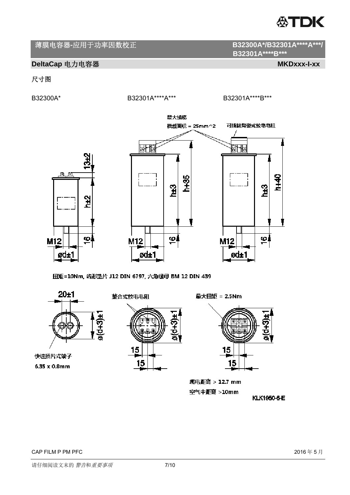

# **DeltaCap** 电力电容器 MKDxxx-I-xx

ட்டை

M12

Ød±1

# 尺寸图

B32300A\* B32301A\*\*\*\*A\*\*\* B32301A\*\*\*\*B\*\*\*

 **B32301A\*\*\*\*B\*\*\*** 



扭矩=10Nm, 齿形垫片 J12 DIN 6797, 六角螺母 BM 12 DIN 439



6.35 x 0.8mm



最大扭矩 = 2.5Nm



爬电距离 > 12.7 mm 空气中距离 >10mm

KLK1950-6-E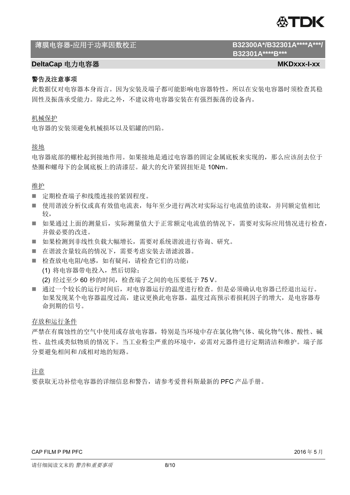

# 薄膜电容器**-**应用于功率因数校正 **B32300A\*/B32301A\*\*\*\*A\*\*\*/**

# **DeltaCap** 电力电容器 **MKDxxx-I-xx**

# 警告及注意事项

此数据仅对电容器本身而言。因为安装及端子都可能影响电容器特性,所以在安装电容器时须检查其稳 固性及振荡承受能力。除此之外,不建议将电容器安装在有强烈振荡的设备内。

## 机械保护

电容器的安装须避免机械损坏以及铝罐的凹陷。

# 接地

电容器底部的螺栓起到接地作用。如果接地是通过电容器的固定金属底板来实现的,那么应该刮去位于 垫圈和螺母下的金属底板上的清漆层。最大的允许紧固扭矩是 10Nm。

## 维护

- 定期检查端子和线缆连接的紧固程度。
- 使用谐波分析仪或真有效值电流表,每年至少进行两次对实际运行电流值的读取,并同额定值相比 较,
- 如果通过上面的测量后,实际测量值大于正常额定电流值的情况下,需要对实际应用情况进行检查, 并做必要的改进。
- 如果检测到非线性负载大幅增长,需要对系统谐波进行咨询、研究。
- 在谐波含量较高的情况下,需要考虑安装去谐滤波器。
- 检查放电电阻/电感,如有疑问,请检查它们的功能: (1) 将电容器带电投入,然后切除;
	- (2) 经过至少 60 秒的时间,检查端子之间的电压要低于 75 V。
- 通过一个较长的运行时间后,对电容器运行的温度进行检查。但是必须确认电容器已经退出运行。 如果发现某个电容器温度过高,建议更换此电容器。温度过高预示着损耗因子的增大,是电容器寿 命到期的信号。

存放和运行条件

严禁在有腐蚀性的空气中使用或存放电容器,特别是当环境中存在氯化物气体、硫化物气体、酸性、碱 性、盐性或类似物质的情况下。当工业粉尘严重的环境中,必需对元器件进行定期清洁和维护。端子部 分要避免相间和 /或相对地的短路。

### 注意

要获取无功补偿电容器的详细信息和警告,请参考爱普科斯最新的 PFC 产品手册。

 **B32301A\*\*\*\*B\*\*\***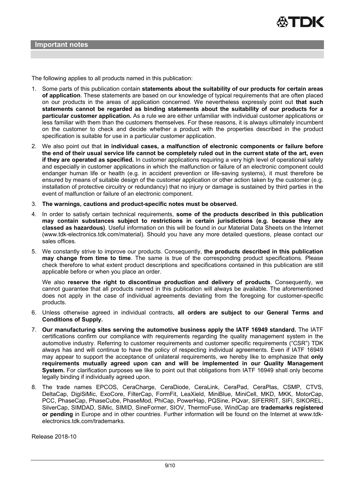The following applies to all products named in this publication:

- 1. Some parts of this publication contain **statements about the suitability of our products for certain areas of application**. These statements are based on our knowledge of typical requirements that are often placed on our products in the areas of application concerned. We nevertheless expressly point out **that such statements cannot be regarded as binding statements about the suitability of our products for a particular customer application.** As a rule we are either unfamiliar with individual customer applications or less familiar with them than the customers themselves. For these reasons, it is always ultimately incumbent on the customer to check and decide whether a product with the properties described in the product specification is suitable for use in a particular customer application.
- 2. We also point out that **in individual cases, a malfunction of electronic components or failure before the end of their usual service life cannot be completely ruled out in the current state of the art, even if they are operated as specified.** In customer applications requiring a very high level of operational safety and especially in customer applications in which the malfunction or failure of an electronic component could endanger human life or health (e.g. in accident prevention or life-saving systems), it must therefore be ensured by means of suitable design of the customer application or other action taken by the customer (e.g. installation of protective circuitry or redundancy) that no injury or damage is sustained by third parties in the event of malfunction or failure of an electronic component.
- 3. **The warnings, cautions and product-specific notes must be observed.**
- 4. In order to satisfy certain technical requirements, **some of the products described in this publication may contain substances subject to restrictions in certain jurisdictions (e.g. because they are classed as hazardous)**. Useful information on this will be found in our Material Data Sheets on the Internet (www.tdk-electronics.tdk.com/material). Should you have any more detailed questions, please contact our sales offices.
- 5. We constantly strive to improve our products. Consequently, **the products described in this publication may change from time to time**. The same is true of the corresponding product specifications. Please check therefore to what extent product descriptions and specifications contained in this publication are still applicable before or when you place an order.

We also **reserve the right to discontinue production and delivery of products**. Consequently, we cannot guarantee that all products named in this publication will always be available. The aforementioned does not apply in the case of individual agreements deviating from the foregoing for customer-specific products.

- 6. Unless otherwise agreed in individual contracts, **all orders are subject to our General Terms and Conditions of Supply.**
- 7. **Our manufacturing sites serving the automotive business apply the IATF 16949 standard.** The IATF certifications confirm our compliance with requirements regarding the quality management system in the automotive industry. Referring to customer requirements and customer specific requirements ("CSR") TDK always has and will continue to have the policy of respecting individual agreements. Even if IATF 16949 may appear to support the acceptance of unilateral requirements, we hereby like to emphasize that **only requirements mutually agreed upon can and will be implemented in our Quality Management System.** For clarification purposes we like to point out that obligations from IATF 16949 shall only become legally binding if individually agreed upon.
- 8. The trade names EPCOS, CeraCharge, CeraDiode, CeraLink, CeraPad, CeraPlas, CSMP, CTVS, DeltaCap, DigiSiMic, ExoCore, FilterCap, FormFit, LeaXield, MiniBlue, MiniCell, MKD, MKK, MotorCap, PCC, PhaseCap, PhaseCube, PhaseMod, PhiCap, PowerHap, PQSine, PQvar, SIFERRIT, SIFI, SIKOREL, SilverCap, SIMDAD, SiMic, SIMID, SineFormer, SIOV, ThermoFuse, WindCap are **trademarks registered or pending** in Europe and in other countries. Further information will be found on the Internet at www.tdkelectronics.tdk.com/trademarks.

Release 2018-10